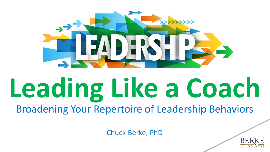

## **Leading Like a Coach** Broadening Your Repertoire of Leadership Behaviors

Chuck Berke, PhD

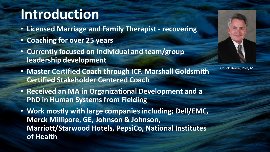## **Introduction**

- **Licensed Marriage and Family Therapist - recovering**
- **Coaching for over 25 years**
- **Currently focused on Individual and team/group leadership development**
- **Master Certified Coach through ICF. Marshall Goldsmith Certified Stakeholder Centered Coach**
- **Received an MA in Organizational Development and a PhD in Human Systems from Fielding**
- **Work mostly with large companies including; Dell/EMC, Merck Millipore, GE, Johnson & Johnson, Marriott/Starwood Hotels, PepsiCo, National Institutes of Health**



Chuck Berke, PhD, MCC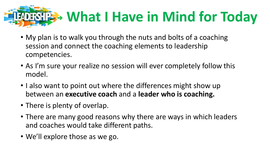

- My plan is to walk you through the nuts and bolts of a coaching session and connect the coaching elements to leadership competencies.
- As I'm sure your realize no session will ever completely follow this model.
- I also want to point out where the differences might show up between an **executive coach** and a **leader who is coaching.**
- There is plenty of overlap.
- There are many good reasons why there are ways in which leaders and coaches would take different paths.
- We'll explore those as we go.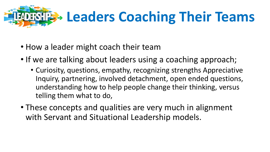

- How a leader might coach their team
- If we are talking about leaders using a coaching approach;
	- Curiosity, questions, empathy, recognizing strengths Appreciative Inquiry, partnering, involved detachment, open ended questions, understanding how to help people change their thinking, versus telling them what to do,
- These concepts and qualities are very much in alignment with Servant and Situational Leadership models.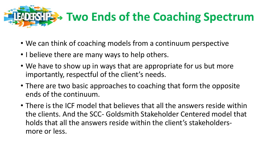

- We can think of coaching models from a continuum perspective
- I believe there are many ways to help others.
- We have to show up in ways that are appropriate for us but more importantly, respectful of the client's needs.
- There are two basic approaches to coaching that form the opposite ends of the continuum.
- There is the ICF model that believes that all the answers reside within the clients. And the SCC- Goldsmith Stakeholder Centered model that holds that all the answers reside within the client's stakeholdersmore or less.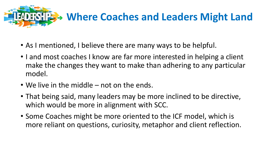

- As I mentioned, I believe there are many ways to be helpful.
- I and most coaches I know are far more interested in helping a client make the changes they want to make than adhering to any particular model.
- We live in the middle not on the ends.
- That being said, many leaders may be more inclined to be directive, which would be more in alignment with SCC.
- Some Coaches might be more oriented to the ICF model, which is more reliant on questions, curiosity, metaphor and client reflection.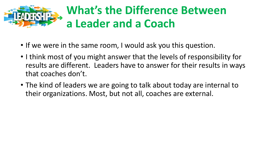

## **What's the Difference Between a Leader and a Coach**

- If we were in the same room, I would ask you this question.
- I think most of you might answer that the levels of responsibility for results are different. Leaders have to answer for their results in ways that coaches don't.
- The kind of leaders we are going to talk about today are internal to their organizations. Most, but not all, coaches are external.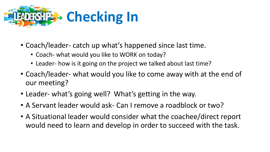

- Coach/leader- catch up what's happened since last time.
	- Coach- what would you like to WORK on today?
	- Leader- how is it going on the project we talked about last time?
- Coach/leader- what would you like to come away with at the end of our meeting?
- Leader- what's going well? What's getting in the way.
- A Servant leader would ask- Can I remove a roadblock or two?
- A Situational leader would consider what the coachee/direct report would need to learn and develop in order to succeed with the task.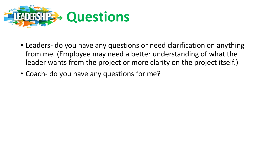

- Leaders- do you have any questions or need clarification on anything from me. (Employee may need a better understanding of what the leader wants from the project or more clarity on the project itself.)
- Coach- do you have any questions for me?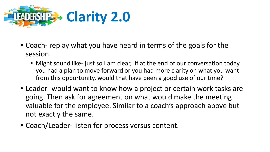

- Coach- replay what you have heard in terms of the goals for the session.
	- Might sound like- just so I am clear, if at the end of our conversation today you had a plan to move forward or you had more clarity on what you want from this opportunity, would that have been a good use of our time?
- Leader- would want to know how a project or certain work tasks are going. Then ask for agreement on what would make the meeting valuable for the employee. Similar to a coach's approach above but not exactly the same.
- Coach/Leader- listen for process versus content.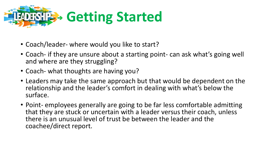

- Coach/leader- where would you like to start?
- Coach- if they are unsure about a starting point- can ask what's going well and where are they struggling?
- Coach- what thoughts are having you?
- Leaders may take the same approach but that would be dependent on the relationship and the leader's comfort in dealing with what's below the surface.
- Point- employees generally are going to be far less comfortable admitting that they are stuck or uncertain with a leader versus their coach, unless there is an unusual level of trust be between the leader and the coachee/direct report.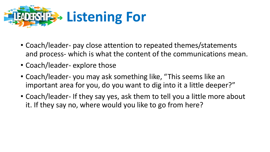

- Coach/leader- pay close attention to repeated themes/statements and process- which is what the content of the communications mean.
- Coach/leader- explore those
- Coach/leader- you may ask something like, "This seems like an important area for you, do you want to dig into it a little deeper?"
- Coach/leader- If they say yes, ask them to tell you a little more about it. If they say no, where would you like to go from here?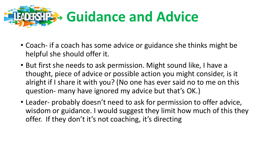

- Coach- if a coach has some advice or guidance she thinks might be helpful she should offer it.
- But first she needs to ask permission. Might sound like, I have a thought, piece of advice or possible action you might consider, is it alright if I share it with you? (No one has ever said no to me on this question- many have ignored my advice but that's OK.)
- Leader- probably doesn't need to ask for permission to offer advice, wisdom or guidance. I would suggest they limit how much of this they offer. If they don't it's not coaching, it's directing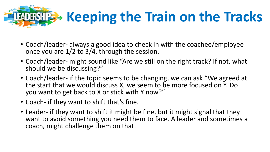

- Coach/leader- always a good idea to check in with the coachee/employee once you are 1/2 to 3/4, through the session.
- Coach/leader- might sound like "Are we still on the right track? If not, what should we be discussing?"
- Coach/leader- if the topic seems to be changing, we can ask "We agreed at the start that we would discuss X, we seem to be more focused on Y. Do you want to get back to X or stick with Y now?"
- Coach- if they want to shift that's fine.
- Leader- if they want to shift it might be fine, but it might signal that they want to avoid something you need them to face. A leader and sometimes a coach, might challenge them on that.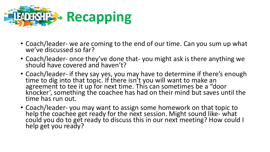

- Coach/leader- we are coming to the end of our time. Can you sum up what we've discussed so far?
- Coach/leader- once they've done that- you might ask is there anything we should have covered and haven't?
- Coach/leader- if they say yes, you may have to determine if there's enough time to dig into that topic. If there isn't you will want to make an agreement to tee it up for next time. This can sometimes be a "door knocker', something the coachee has had on their mind but saves until the time has run out.
- Coach/leader- you may want to assign some homework on that topic to help the coachee get ready for the next session. Might sound like- what could you do to get ready to discuss this in our next meeting? How could I help get you ready?